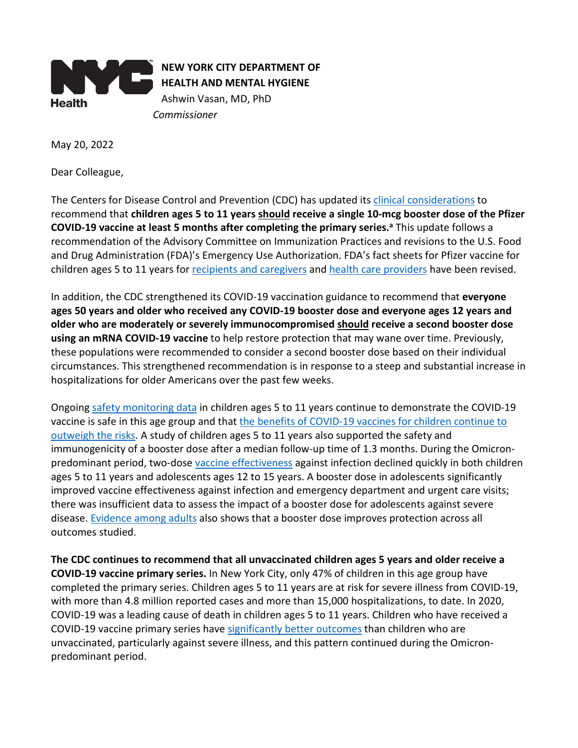

May 20, 2022

Dear Colleague,

The Centers for Disease Control and Prevention (CDC) has updated it[s clinical considerations](https://www.cdc.gov/vaccines/covid-19/clinical-considerations/covid-19-vaccines-us.html) to recommend that **children ages 5 to 11 years should receive a single 10-mcg booster dose of the Pfizer COVID-19 vaccine at least 5 months after completing the primary series. <sup>a</sup>** This update follows a recommendation of the Advisory Committee on Immunization Practices and revisions to the U.S. Food and Drug Administration (FDA)'s Emergency Use Authorization. FDA's fact sheets for Pfizer vaccine for children ages 5 to 11 years for recipients [and caregivers](https://www.fda.gov/media/153717/download) an[d health care providers](https://www.fda.gov/media/153714/download) have been revised.

In addition, the CDC strengthened its COVID-19 vaccination guidance to recommend that **everyone ages 50 years and older who received any COVID-19 booster dose and everyone ages 12 years and older who are moderately or severely immunocompromised should receive a second booster dose using an mRNA COVID-19 vaccine** to help restore protection that may wane over time. Previously, these populations were recommended to consider a second booster dose based on their individual circumstances. This strengthened recommendation is in response to a steep and substantial increase in hospitalizations for older Americans over the past few weeks.

Ongoin[g safety monitoring data](https://www.cdc.gov/vaccines/acip/meetings/downloads/slides-2022-05-19/03-COVID-Shimabukuro-508.pdf) in children ages 5 to 11 years continue to demonstrate the COVID-19 vaccine is safe in this age group and tha[t the benefits of COVID-19 vaccines](https://www.cdc.gov/vaccines/acip/meetings/downloads/slides-2022-05-19/06-COVID-Oliver-508.pdf) for children continue to [outweigh the risks.](https://www.cdc.gov/vaccines/acip/meetings/downloads/slides-2022-05-19/06-COVID-Oliver-508.pdf) A study of children ages 5 to 11 years also supported the safety and immunogenicity of a booster dose after a median follow-up time of 1.3 months. During the Omicronpredominant period, two-dos[e vaccine effectiveness](https://www.cdc.gov/vaccines/acip/meetings/downloads/slides-2022-05-19/02-COVID-Link-Gelles-508.pdf) against infection declined quickly in both children ages 5 to 11 years and adolescents ages 12 to 15 years. A booster dose in adolescents significantly improved vaccine effectiveness against infection and emergency department and urgent care visits; there was insufficient data to assess the impact of a booster dose for adolescents against severe disease. [Evidence among adults](https://www.cdc.gov/vaccines/acip/meetings/downloads/slides-2022-04-20/02-COVID-Link-Gelles-508.pdf) also shows that a booster dose improves protection across all outcomes studied.

**The CDC continues to recommend that all unvaccinated children ages 5 years and older receive a COVID-19 vaccine primary series.** In New York City, only 47% of children in this age group have completed the primary series. Children ages 5 to 11 years are at risk for severe illness from COVID-19, with more than 4.8 million reported cases and more than 15,000 hospitalizations, to date. In 2020, COVID-19 was a leading cause of death in children ages 5 to 11 years. Children who have received a COVID-19 vaccine primary series have [significantly better outcomes](https://www.cdc.gov/mmwr/volumes/71/wr/mm7116e1.htm?s_cid=mm7116e1_w) than children who are unvaccinated, particularly against severe illness, and this pattern continued during the Omicronpredominant period.